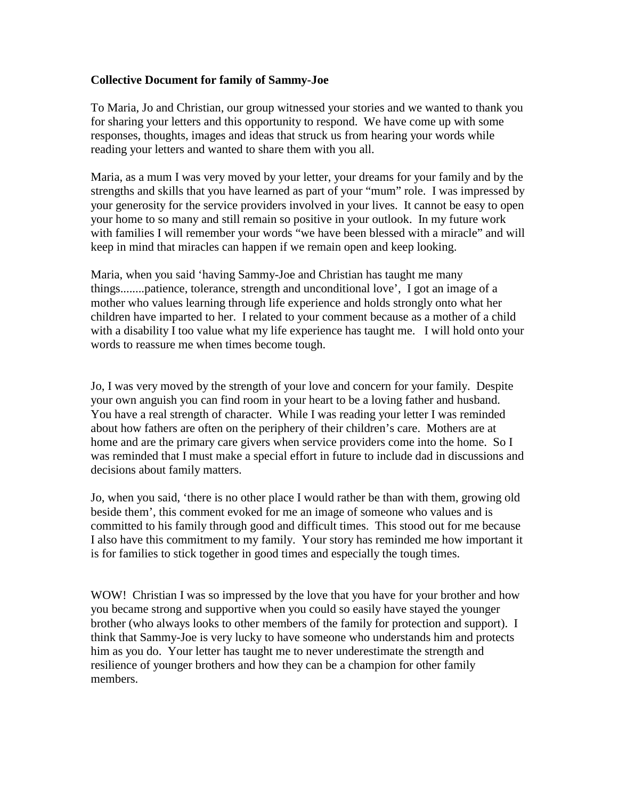## **Collective Document for family of Sammy-Joe**

To Maria, Jo and Christian, our group witnessed your stories and we wanted to thank you for sharing your letters and this opportunity to respond. We have come up with some responses, thoughts, images and ideas that struck us from hearing your words while reading your letters and wanted to share them with you all.

Maria, as a mum I was very moved by your letter, your dreams for your family and by the strengths and skills that you have learned as part of your "mum" role. I was impressed by your generosity for the service providers involved in your lives. It cannot be easy to open your home to so many and still remain so positive in your outlook. In my future work with families I will remember your words "we have been blessed with a miracle" and will keep in mind that miracles can happen if we remain open and keep looking.

Maria, when you said 'having Sammy-Joe and Christian has taught me many things........patience, tolerance, strength and unconditional love', I got an image of a mother who values learning through life experience and holds strongly onto what her children have imparted to her. I related to your comment because as a mother of a child with a disability I too value what my life experience has taught me. I will hold onto your words to reassure me when times become tough.

Jo, I was very moved by the strength of your love and concern for your family. Despite your own anguish you can find room in your heart to be a loving father and husband. You have a real strength of character. While I was reading your letter I was reminded about how fathers are often on the periphery of their children's care. Mothers are at home and are the primary care givers when service providers come into the home. So I was reminded that I must make a special effort in future to include dad in discussions and decisions about family matters.

Jo, when you said, 'there is no other place I would rather be than with them, growing old beside them', this comment evoked for me an image of someone who values and is committed to his family through good and difficult times. This stood out for me because I also have this commitment to my family. Your story has reminded me how important it is for families to stick together in good times and especially the tough times.

WOW! Christian I was so impressed by the love that you have for your brother and how you became strong and supportive when you could so easily have stayed the younger brother (who always looks to other members of the family for protection and support). I think that Sammy-Joe is very lucky to have someone who understands him and protects him as you do. Your letter has taught me to never underestimate the strength and resilience of younger brothers and how they can be a champion for other family members.